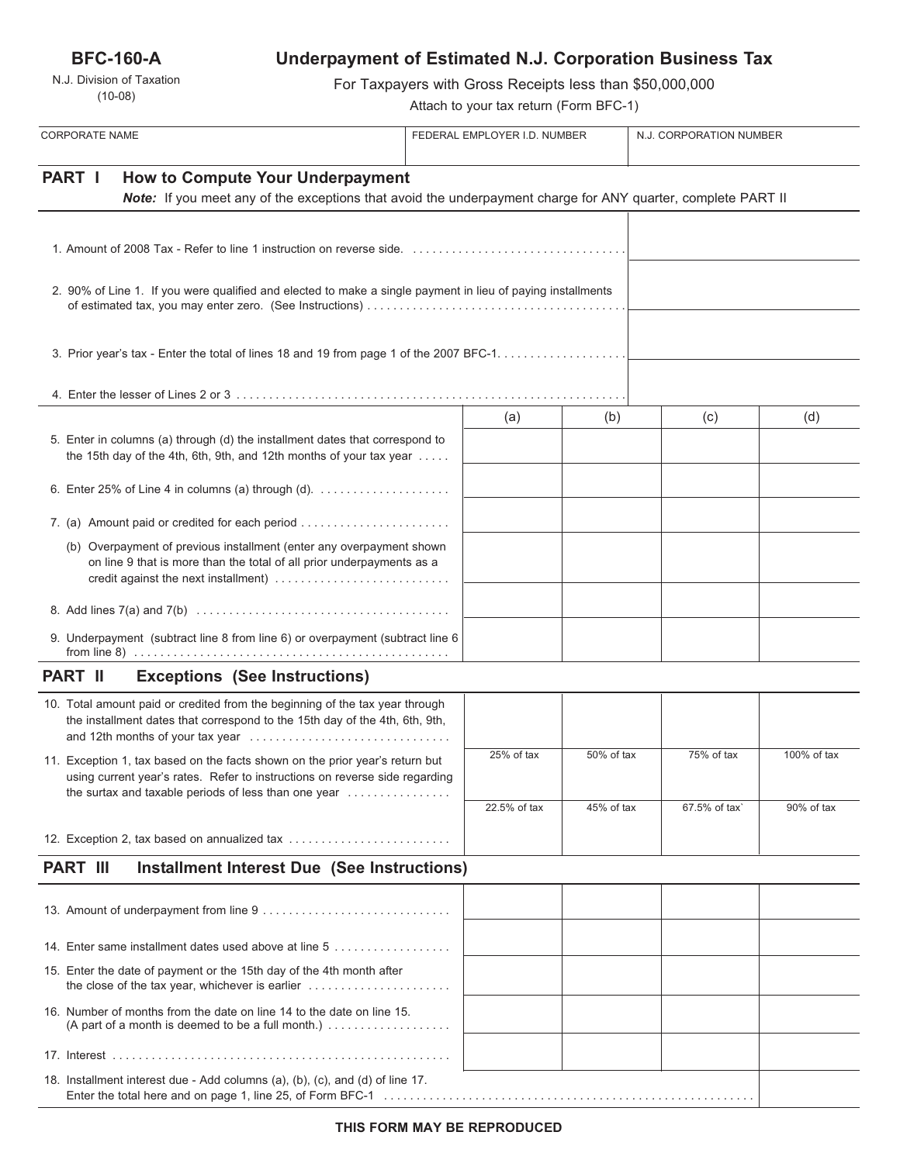**BFC-160-A**

N.J. Division of Taxation (10-08)

# **Underpayment of Estimated N.J. Corporation Business Tax**

For Taxpayers with Gross Receipts less than \$50,000,000

Attach to your tax return (Form BFC-1)

| <b>CORPORATE NAME</b>                                                                                                                                                                                                                           | FEDERAL EMPLOYER I.D. NUMBER |              |            | N.J. CORPORATION NUMBER |             |
|-------------------------------------------------------------------------------------------------------------------------------------------------------------------------------------------------------------------------------------------------|------------------------------|--------------|------------|-------------------------|-------------|
| PART I<br><b>How to Compute Your Underpayment</b><br>Note: If you meet any of the exceptions that avoid the underpayment charge for ANY quarter, complete PART II                                                                               |                              |              |            |                         |             |
|                                                                                                                                                                                                                                                 |                              |              |            |                         |             |
| 2. 90% of Line 1. If you were qualified and elected to make a single payment in lieu of paying installments                                                                                                                                     |                              |              |            |                         |             |
|                                                                                                                                                                                                                                                 |                              |              |            |                         |             |
|                                                                                                                                                                                                                                                 |                              |              |            |                         |             |
| 5. Enter in columns (a) through (d) the installment dates that correspond to<br>the 15th day of the 4th, 6th, 9th, and 12th months of your tax year                                                                                             |                              | (a)          | (b)        | (c)                     | (d)         |
|                                                                                                                                                                                                                                                 |                              |              |            |                         |             |
|                                                                                                                                                                                                                                                 |                              |              |            |                         |             |
| (b) Overpayment of previous installment (enter any overpayment shown<br>on line 9 that is more than the total of all prior underpayments as a<br>credit against the next installment)                                                           |                              |              |            |                         |             |
|                                                                                                                                                                                                                                                 |                              |              |            |                         |             |
| 9. Underpayment (subtract line 8 from line 6) or overpayment (subtract line 6                                                                                                                                                                   |                              |              |            |                         |             |
| <b>PART II</b><br><b>Exceptions (See Instructions)</b>                                                                                                                                                                                          |                              |              |            |                         |             |
| 10. Total amount paid or credited from the beginning of the tax year through<br>the installment dates that correspond to the 15th day of the 4th, 6th, 9th,                                                                                     |                              |              |            |                         |             |
| 11. Exception 1, tax based on the facts shown on the prior year's return but<br>using current year's rates. Refer to instructions on reverse side regarding<br>the surtax and taxable periods of less than one year $\dots\dots\dots\dots\dots$ |                              | 25% of tax   | 50% of tax | 75% of tax              | 100% of tax |
|                                                                                                                                                                                                                                                 |                              | 22.5% of tax | 45% of tax | 67.5% of tax`           | 90% of tax  |
| 12. Exception 2, tax based on annualized tax                                                                                                                                                                                                    |                              |              |            |                         |             |
| <b>PART III</b><br><b>Installment Interest Due (See Instructions)</b>                                                                                                                                                                           |                              |              |            |                         |             |
|                                                                                                                                                                                                                                                 |                              |              |            |                         |             |
|                                                                                                                                                                                                                                                 |                              |              |            |                         |             |
| 14. Enter same installment dates used above at line 5                                                                                                                                                                                           |                              |              |            |                         |             |
| 15. Enter the date of payment or the 15th day of the 4th month after<br>the close of the tax year, whichever is earlier                                                                                                                         |                              |              |            |                         |             |
| 16. Number of months from the date on line 14 to the date on line 15.                                                                                                                                                                           |                              |              |            |                         |             |
|                                                                                                                                                                                                                                                 |                              |              |            |                         |             |
| 18. Installment interest due - Add columns (a), (b), (c), and (d) of line 17.                                                                                                                                                                   |                              |              |            |                         |             |

Enter the total here and on page 1, line 25, of Form BFC-1 . . . . . . . . . . . . . . . . . . . . . . . . . . . . . . . . . . . . . . . . . . . . . . . . . . . . . . . . .